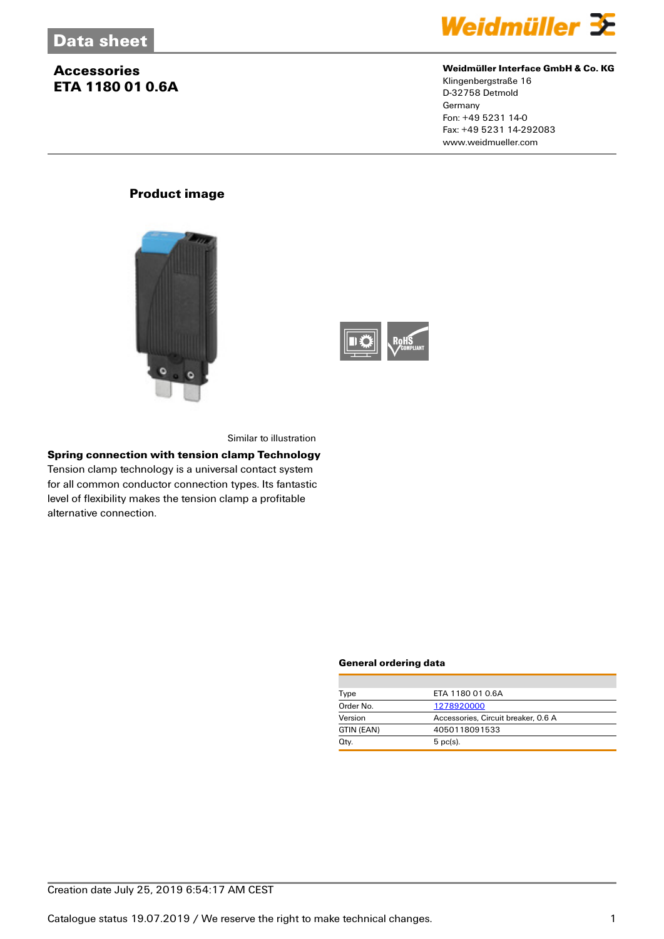## **Accessories ETA 1180 01 0.6A**



### **Weidmüller Interface GmbH & Co. KG**

Klingenbergstraße 16 D-32758 Detmold **Germany** Fon: +49 5231 14-0 Fax: +49 5231 14-292083 www.weidmueller.com

## **Product image**





Similar to illustration

## **Spring connection with tension clamp Technology**

Tension clamp technology is a universal contact system for all common conductor connection types. Its fantastic level of flexibility makes the tension clamp a profitable alternative connection.

#### **General ordering data**

| Type       | ETA 1180 01 0.6A                    |  |  |
|------------|-------------------------------------|--|--|
| Order No.  | 1278920000                          |  |  |
| Version    | Accessories, Circuit breaker, 0.6 A |  |  |
| GTIN (EAN) | 4050118091533                       |  |  |
| Qty.       | $5$ pc(s).                          |  |  |